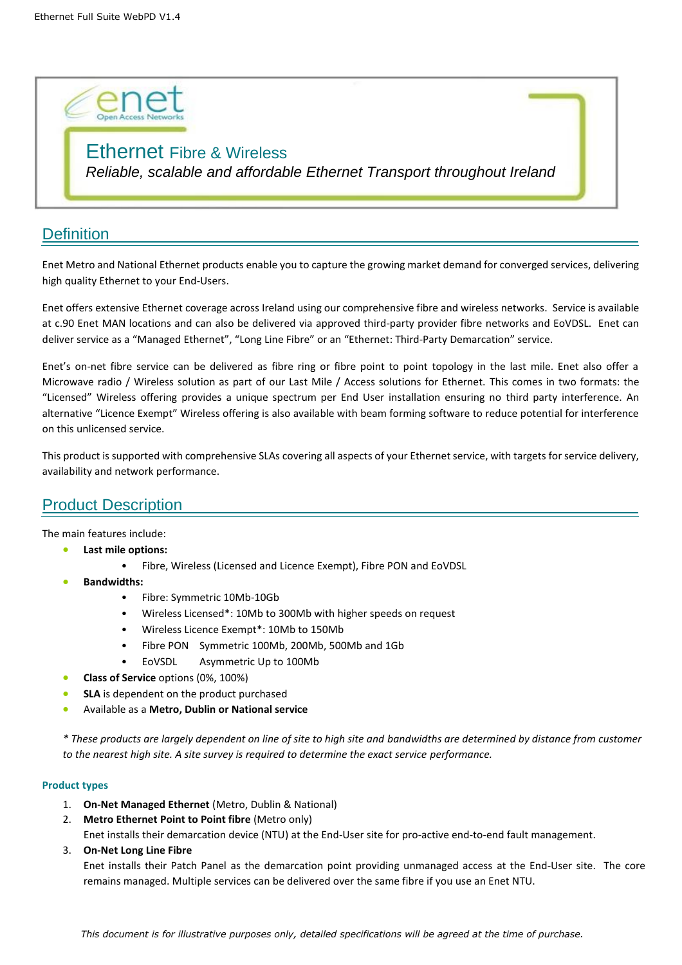

Ethernet Fibre & Wireless *Reliable, scalable and affordable Ethernet Transport throughout Ireland*

## **Definition**

Enet Metro and National Ethernet products enable you to capture the growing market demand for converged services, delivering high quality Ethernet to your End-Users.

Enet offers extensive Ethernet coverage across Ireland using our comprehensive fibre and wireless networks. Service is available at c.90 Enet MAN locations and can also be delivered via approved third-party provider fibre networks and EoVDSL. Enet can deliver service as a "Managed Ethernet", "Long Line Fibre" or an "Ethernet: Third-Party Demarcation" service.

Enet's on-net fibre service can be delivered as fibre ring or fibre point to point topology in the last mile. Enet also offer a Microwave radio / Wireless solution as part of our Last Mile / Access solutions for Ethernet. This comes in two formats: the "Licensed" Wireless offering provides a unique spectrum per End User installation ensuring no third party interference. An alternative "Licence Exempt" Wireless offering is also available with beam forming software to reduce potential for interference on this unlicensed service.

This product is supported with comprehensive SLAs covering all aspects of your Ethernet service, with targets for service delivery, availability and network performance.

### Product Description

The main features include:

- **Last mile options:**
	- Fibre, Wireless (Licensed and Licence Exempt), Fibre PON and EoVDSL
- **Bandwidths:** 
	- Fibre: Symmetric 10Mb-10Gb
	- Wireless Licensed\*: 10Mb to 300Mb with higher speeds on request
	- Wireless Licence Exempt\*: 10Mb to 150Mb
	- Fibre PON Symmetric 100Mb, 200Mb, 500Mb and 1Gb
	- EoVSDL Asymmetric Up to 100Mb
- **Class of Service** options (0%, 100%)
- **SLA** is dependent on the product purchased
- Available as a **Metro, Dublin or National service**

*\* These products are largely dependent on line of site to high site and bandwidths are determined by distance from customer to the nearest high site. A site survey is required to determine the exact service performance.*

#### **Product types**

- 1. **On-Net Managed Ethernet** (Metro, Dublin & National)
- 2. **Metro Ethernet Point to Point fibre** (Metro only)

Enet installs their demarcation device (NTU) at the End-User site for pro-active end-to-end fault management.

3. **On-Net Long Line Fibre**

Enet installs their Patch Panel as the demarcation point providing unmanaged access at the End-User site. The core remains managed. Multiple services can be delivered over the same fibre if you use an Enet NTU.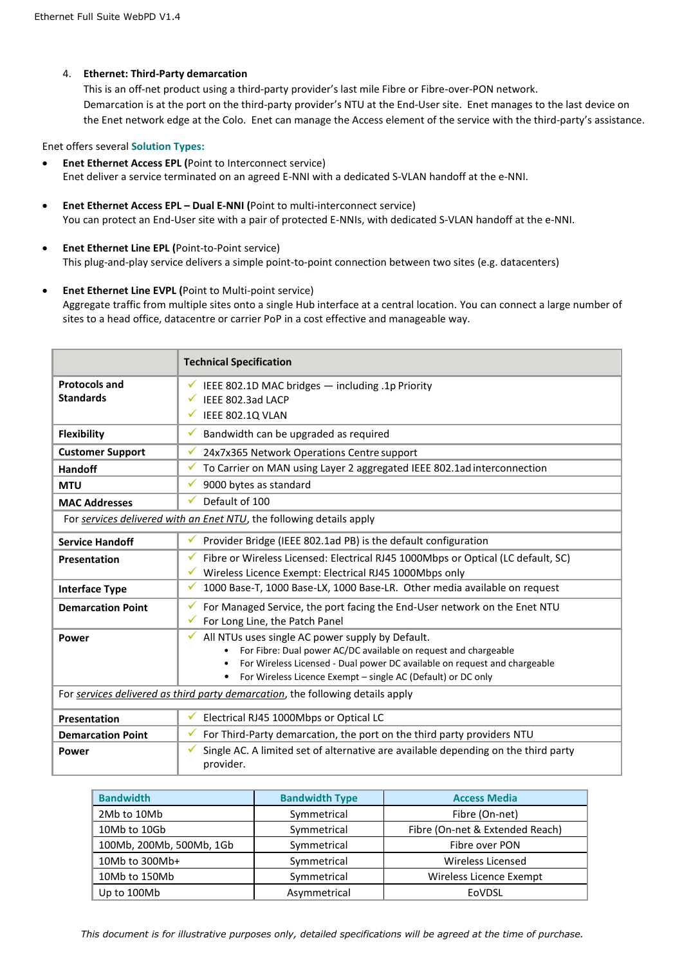#### 4. **Ethernet: Third-Party demarcation**

This is an off-net product using a third-party provider's last mile Fibre or Fibre-over-PON network. Demarcation is at the port on the third-party provider's NTU at the End-User site. Enet manages to the last device on the Enet network edge at the Colo. Enet can manage the Access element of the service with the third-party's assistance.

Enet offers several **Solution Types:**

- **Enet Ethernet Access EPL (**Point to Interconnect service) Enet deliver a service terminated on an agreed E-NNI with a dedicated S-VLAN handoff at the e-NNI.
- **Enet Ethernet Access EPL – Dual E-NNI (**Point to multi-interconnect service) You can protect an End-User site with a pair of protected E-NNIs, with dedicated S-VLAN handoff at the e-NNI.
- **Enet Ethernet Line EPL (**Point-to-Point service) This plug-and-play service delivers a simple point-to-point connection between two sites (e.g. datacenters)
- **Enet Ethernet Line EVPL (**Point to Multi-point service) Aggregate traffic from multiple sites onto a single Hub interface at a central location. You can connect a large number of sites to a head office, datacentre or carrier PoP in a cost effective and manageable way.

|                                                                                | <b>Technical Specification</b>                                                                                                                                                                                                                                   |  |  |
|--------------------------------------------------------------------------------|------------------------------------------------------------------------------------------------------------------------------------------------------------------------------------------------------------------------------------------------------------------|--|--|
| <b>Protocols and</b><br><b>Standards</b>                                       | IEEE 802.1D MAC bridges - including .1p Priority<br>IEEE 802.3ad LACP<br>$\checkmark$ IEEE 802.1Q VLAN                                                                                                                                                           |  |  |
| Flexibility                                                                    | Bandwidth can be upgraded as required<br>✔                                                                                                                                                                                                                       |  |  |
| <b>Customer Support</b>                                                        | 24x7x365 Network Operations Centre support                                                                                                                                                                                                                       |  |  |
| <b>Handoff</b>                                                                 | To Carrier on MAN using Layer 2 aggregated IEEE 802.1ad interconnection                                                                                                                                                                                          |  |  |
| <b>MTU</b>                                                                     | 9000 bytes as standard                                                                                                                                                                                                                                           |  |  |
| <b>MAC Addresses</b>                                                           | Default of 100<br>✓                                                                                                                                                                                                                                              |  |  |
| For services delivered with an Enet NTU, the following details apply           |                                                                                                                                                                                                                                                                  |  |  |
| <b>Service Handoff</b>                                                         | $\checkmark$ Provider Bridge (IEEE 802.1ad PB) is the default configuration                                                                                                                                                                                      |  |  |
| Presentation                                                                   | Fibre or Wireless Licensed: Electrical RJ45 1000Mbps or Optical (LC default, SC)<br>Wireless Licence Exempt: Electrical RJ45 1000Mbps only                                                                                                                       |  |  |
| <b>Interface Type</b>                                                          | 1000 Base-T, 1000 Base-LX, 1000 Base-LR. Other media available on request<br>✓                                                                                                                                                                                   |  |  |
| <b>Demarcation Point</b>                                                       | For Managed Service, the port facing the End-User network on the Enet NTU<br>For Long Line, the Patch Panel                                                                                                                                                      |  |  |
| Power                                                                          | All NTUs uses single AC power supply by Default.<br>For Fibre: Dual power AC/DC available on request and chargeable<br>For Wireless Licensed - Dual power DC available on request and chargeable<br>For Wireless Licence Exempt - single AC (Default) or DC only |  |  |
| For services delivered as third party demarcation, the following details apply |                                                                                                                                                                                                                                                                  |  |  |
| Presentation                                                                   | Electrical RJ45 1000Mbps or Optical LC                                                                                                                                                                                                                           |  |  |
| <b>Demarcation Point</b>                                                       | For Third-Party demarcation, the port on the third party providers NTU                                                                                                                                                                                           |  |  |
| Power                                                                          | Single AC. A limited set of alternative are available depending on the third party<br>provider.                                                                                                                                                                  |  |  |

| <b>Bandwidth</b>         | <b>Bandwidth Type</b> | <b>Access Media</b>             |
|--------------------------|-----------------------|---------------------------------|
| 2Mb to 10Mb              | Symmetrical           | Fibre (On-net)                  |
| 10Mb to 10Gb             | Symmetrical           | Fibre (On-net & Extended Reach) |
| 100Mb, 200Mb, 500Mb, 1Gb | Symmetrical           | Fibre over PON                  |
| 10Mb to 300Mb+           | Symmetrical           | Wireless Licensed               |
| 10Mb to 150Mb            | Symmetrical           | Wireless Licence Exempt         |
| Up to 100Mb              | Asymmetrical          | EoVDSL                          |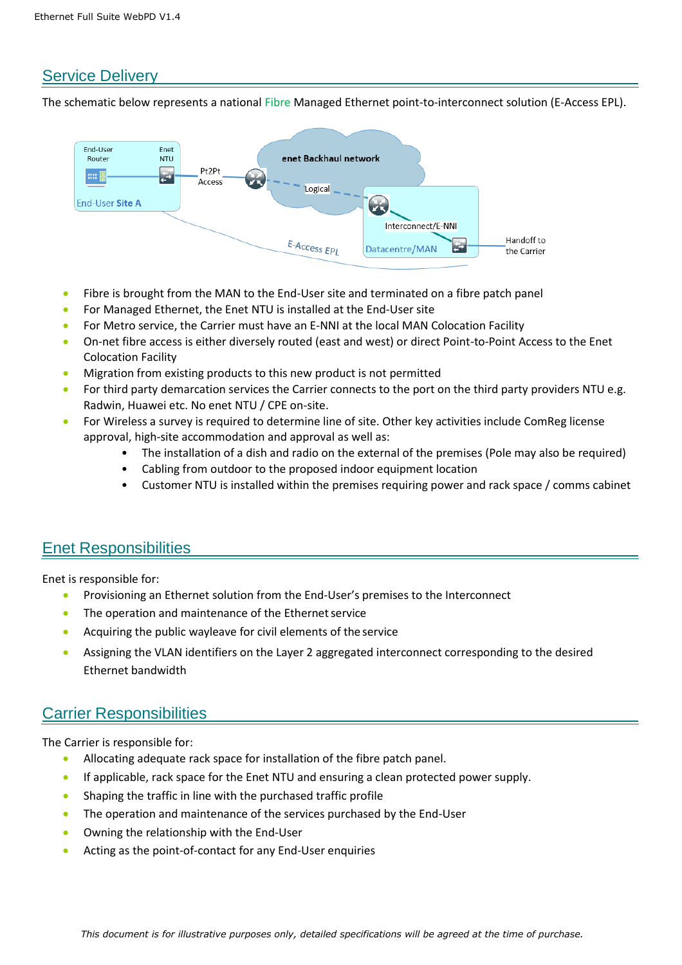## Service Delivery

The schematic below represents a national Fibre Managed Ethernet point-to-interconnect solution (E-Access EPL).



- Fibre is brought from the MAN to the End-User site and terminated on a fibre patch panel
- For Managed Ethernet, the Enet NTU is installed at the End-User site
- For Metro service, the Carrier must have an E-NNI at the local MAN Colocation Facility
- On-net fibre access is either diversely routed (east and west) or direct Point-to-Point Access to the Enet Colocation Facility
- Migration from existing products to this new product is not permitted
- For third party demarcation services the Carrier connects to the port on the third party providers NTU e.g. Radwin, Huawei etc. No enet NTU / CPE on-site.
- For Wireless a survey is required to determine line of site. Other key activities include ComReg license approval, high-site accommodation and approval as well as:
	- The installation of a dish and radio on the external of the premises (Pole may also be required)
	- Cabling from outdoor to the proposed indoor equipment location
	- Customer NTU is installed within the premises requiring power and rack space / comms cabinet

# Enet Responsibilities

Enet is responsible for:

- Provisioning an Ethernet solution from the End-User's premises to the Interconnect
- $\bullet$  The operation and maintenance of the Ethernet service
- Acquiring the public wayleave for civil elements of the service
- Assigning the VLAN identifiers on the Layer 2 aggregated interconnect corresponding to the desired Ethernet bandwidth

### Carrier Responsibilities

The Carrier is responsible for:

- Allocating adequate rack space for installation of the fibre patch panel.
- If applicable, rack space for the Enet NTU and ensuring a clean protected power supply.
- Shaping the traffic in line with the purchased traffic profile
- The operation and maintenance of the services purchased by the End-User
- Owning the relationship with the End-User
- Acting as the point-of-contact for any End-User enquiries